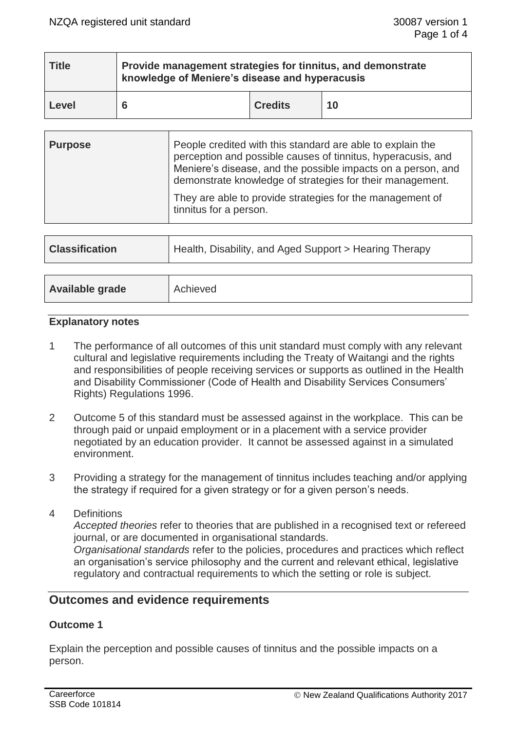| <b>Title</b> | Provide management strategies for tinnitus, and demonstrate<br>knowledge of Meniere's disease and hyperacusis |                |    |  |  |
|--------------|---------------------------------------------------------------------------------------------------------------|----------------|----|--|--|
| Level        |                                                                                                               | <b>Credits</b> | 10 |  |  |

| <b>Purpose</b> | People credited with this standard are able to explain the<br>perception and possible causes of tinnitus, hyperacusis, and<br>Meniere's disease, and the possible impacts on a person, and<br>demonstrate knowledge of strategies for their management. |
|----------------|---------------------------------------------------------------------------------------------------------------------------------------------------------------------------------------------------------------------------------------------------------|
|                | They are able to provide strategies for the management of<br>tinnitus for a person.                                                                                                                                                                     |

| <b>Classification</b> | Health, Disability, and Aged Support > Hearing Therapy |
|-----------------------|--------------------------------------------------------|
|                       |                                                        |
| Available grade       | Achieved                                               |

# **Explanatory notes**

- 1 The performance of all outcomes of this unit standard must comply with any relevant cultural and legislative requirements including the Treaty of Waitangi and the rights and responsibilities of people receiving services or supports as outlined in the Health and Disability Commissioner (Code of Health and Disability Services Consumers' Rights) Regulations 1996.
- 2 Outcome 5 of this standard must be assessed against in the workplace. This can be through paid or unpaid employment or in a placement with a service provider negotiated by an education provider. It cannot be assessed against in a simulated environment.
- 3 Providing a strategy for the management of tinnitus includes teaching and/or applying the strategy if required for a given strategy or for a given person's needs.
- 4 Definitions

*Accepted theories* refer to theories that are published in a recognised text or refereed journal, or are documented in organisational standards.

*Organisational standards* refer to the policies, procedures and practices which reflect an organisation's service philosophy and the current and relevant ethical, legislative regulatory and contractual requirements to which the setting or role is subject.

# **Outcomes and evidence requirements**

# **Outcome 1**

Explain the perception and possible causes of tinnitus and the possible impacts on a person.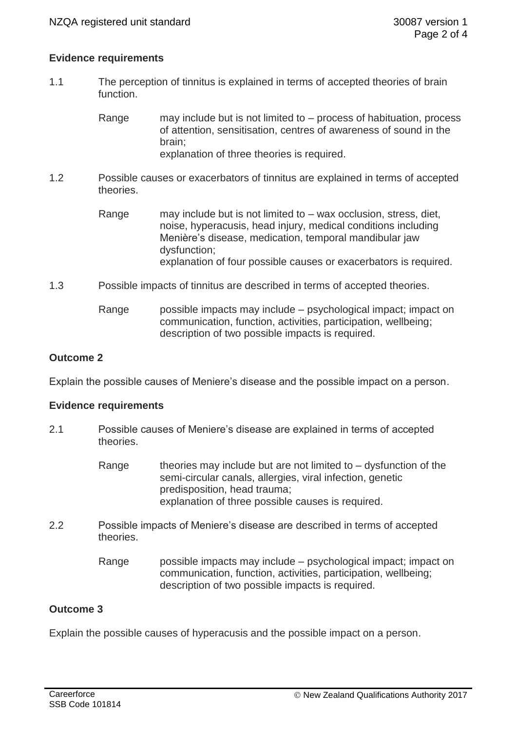## **Evidence requirements**

1.1 The perception of tinnitus is explained in terms of accepted theories of brain function.

> Range may include but is not limited to – process of habituation, process of attention, sensitisation, centres of awareness of sound in the brain; explanation of three theories is required.

1.2 Possible causes or exacerbators of tinnitus are explained in terms of accepted theories.

- Range may include but is not limited to wax occlusion, stress, diet, noise, hyperacusis, head injury, medical conditions including Menière's disease, medication, temporal mandibular jaw dysfunction; explanation of four possible causes or exacerbators is required.
- 1.3 Possible impacts of tinnitus are described in terms of accepted theories.
	- Range possible impacts may include psychological impact; impact on communication, function, activities, participation, wellbeing; description of two possible impacts is required.

## **Outcome 2**

Explain the possible causes of Meniere's disease and the possible impact on a person.

### **Evidence requirements**

- 2.1 Possible causes of Meniere's disease are explained in terms of accepted theories.
	- Range theories may include but are not limited to  $-$  dysfunction of the semi-circular canals, allergies, viral infection, genetic predisposition, head trauma; explanation of three possible causes is required.
- 2.2 Possible impacts of Meniere's disease are described in terms of accepted theories.
	- Range possible impacts may include psychological impact; impact on communication, function, activities, participation, wellbeing; description of two possible impacts is required.

# **Outcome 3**

Explain the possible causes of hyperacusis and the possible impact on a person.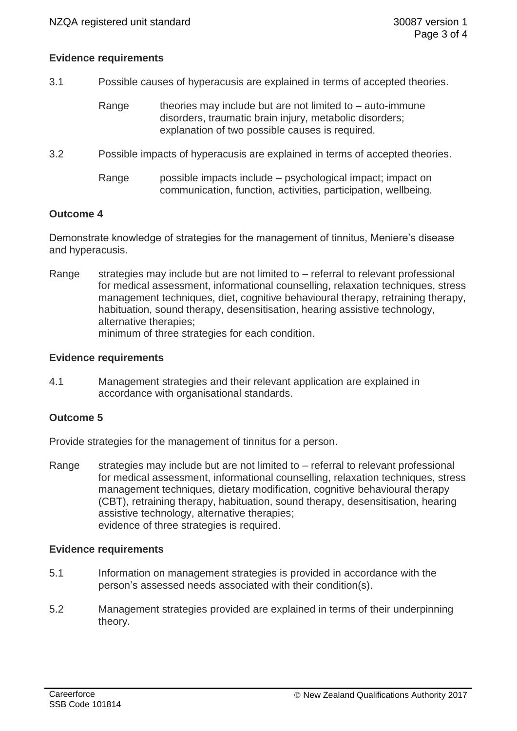## **Evidence requirements**

- 3.1 Possible causes of hyperacusis are explained in terms of accepted theories.
	- Range theories may include but are not limited to  $-$  auto-immune disorders, traumatic brain injury, metabolic disorders; explanation of two possible causes is required.
- 3.2 Possible impacts of hyperacusis are explained in terms of accepted theories.
	- Range possible impacts include psychological impact; impact on communication, function, activities, participation, wellbeing.

### **Outcome 4**

Demonstrate knowledge of strategies for the management of tinnitus, Meniere's disease and hyperacusis.

Range strategies may include but are not limited to – referral to relevant professional for medical assessment, informational counselling, relaxation techniques, stress management techniques, diet, cognitive behavioural therapy, retraining therapy, habituation, sound therapy, desensitisation, hearing assistive technology, alternative therapies; minimum of three strategies for each condition.

### **Evidence requirements**

4.1 Management strategies and their relevant application are explained in accordance with organisational standards.

### **Outcome 5**

Provide strategies for the management of tinnitus for a person.

Range strategies may include but are not limited to – referral to relevant professional for medical assessment, informational counselling, relaxation techniques, stress management techniques, dietary modification, cognitive behavioural therapy (CBT), retraining therapy, habituation, sound therapy, desensitisation, hearing assistive technology, alternative therapies; evidence of three strategies is required.

### **Evidence requirements**

- 5.1 Information on management strategies is provided in accordance with the person's assessed needs associated with their condition(s).
- 5.2 Management strategies provided are explained in terms of their underpinning theory.